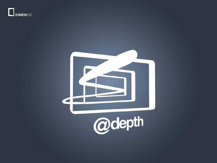



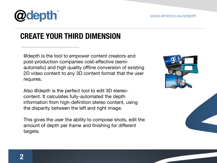

## CREATE YOUR THIRD DIMENSION

@depth is the tool to empower content creators and post-production companies cost-effective (semiautomatic) and high quality offline conversion of existing 2D video content to any 3D content format that the user requires.

Also @depth is the perfect tool to edit 3D stereocontent. It calculates fully-automated the depth information from high-definition stereo content, using the disparity between the left and right image.

This gives the user the ability to compose shots, edit the amount of depth per frame and finishing for different targets.



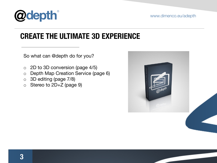

## CREATE THE ULTIMATE 3D EXPERIENCE

So what can @depth do for you?

- o 2D to 3D conversion (page 4/5)
- o Depth Map Creation Service (page 6)
- o 3D editing (page 7/8)
- o Stereo to 2D+Z (page 9)

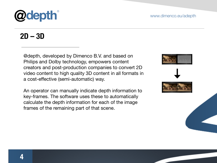

### $2D - 3D$

@depth, developed by Dimenco B.V. and based on Philips and Dolby technology, empowers content creators and post-production companies to convert 2D video content to high quality 3D content in all formats in a cost-effective (semi-automatic) way.

An operator can manually indicate depth information to key-frames. The software uses these to automatically calculate the depth information for each of the image frames of the remaining part of that scene.

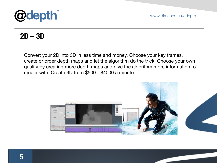

## $2D - 3D$

Convert your 2D into 3D in less time and money. Choose your key frames, create or order depth maps and let the algorithm do the trick. Choose your own quality by creating more depth maps and give the algorithm more information to render with. Create 3D from \$500 - \$4000 a minute.

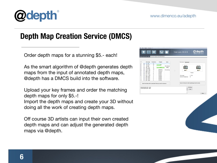

# Depth Map Creation Service (DMCS)

Order depth maps for a stunning \$5.- each!

As the smart algorithm of @depth generates depth maps from the input of annotated depth maps, @depth has a DMCS build into the software.

Upload your key frames and order the matching depth maps for only \$5.-! Import the depth maps and create your 3D without doing all the work of creating depth maps.

Off course 3D artists can input their own created depth maps and can adjust the generated depth maps via @depth.

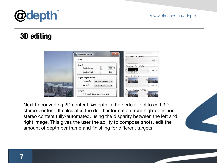



## 3D editing



Next to converting 2D content, @depth is the perfect tool to edit 3D stereo-content. It calculates the depth information from high-definition stereo content fully-automated, using the disparity between the left and right image. This gives the user the ability to compose shots, edit the amount of depth per frame and finishing for different targets.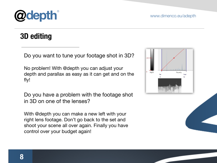#### www.dimenco.eu/adepth

## 3D editing

Do you want to tune your footage shot in 3D?

No problem! With @depth you can adjust your depth and parallax as easy as it can get and on the fly!

Do you have a problem with the footage shot in 3D on one of the lenses?

With @depth you can make a new left with your right lens footage. Don't go back to the set and shoot your scene all over again. Finally you have control over your budget again!



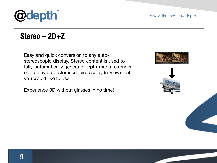

### Stereo – 2D+Z

Easy and quick conversion to any autostereoscopic display. Stereo content is used to fully-automatically generate depth-maps to render out to any auto-stereoscopic display (n-view) that you would like to use.

Experience 3D without glasses in no time!

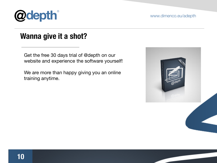

www.dimenco.eu/adepth

### Wanna give it a shot?

Get the free 30 days trial of @depth on our website and experience the software yourself!

We are more than happy giving you an online training anytime.



10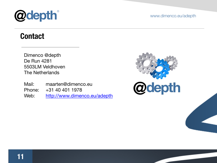

www.dimenco.eu/adepth

11

### **Contact**

Dimenco @depth De Run 4281 5503LM Veldhoven The Netherlands

- Mail: maarten@dimenco.eu
- Phone: +31 40 401 1978
- Web: <http://www.dimenco.eu/adepth>